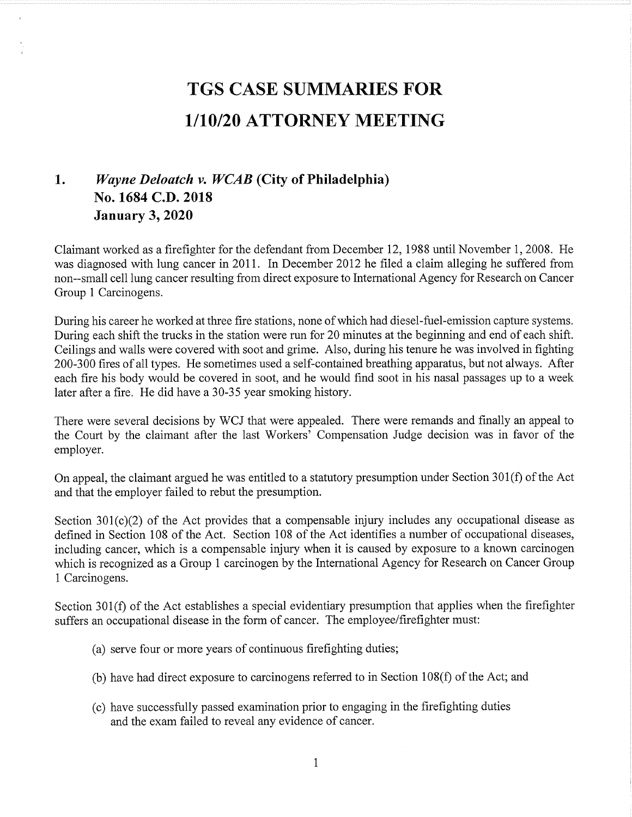## **TGS CASE SUMMARIES FOR**  $1/10/20$  ATTORNEY MEETING

## 1. Wayne Deloatch v. WCAB (City of Philadelphia) No. 1684 C.D. 2018 January 3, 2020

Claimant worked as a firefighter for the defendant from December 12, 1988 until November 1, 2008. He was diagnosed with lung cancer in 2011. In December 2012 he filed a claim alleging he suffered from non--sma11 cell lung cancer resulting from direct exposure to International Agency for Research on Cancer Group 1 Carcinogens.

During his career he worked at three fire stations, none of which had diesel-fuel-emission capture systems. During each shift the trucks in the station were run for 20 minutes at the beginning and end of each shift. Ceilings and walls were covered with soot and grime. Also, during his tenure he was involved in fighting 200-300 fires of all types. He sometimes used aself-contained breathing apparatus, but not always. After each fire his body would be covered in soot, and he would find soot in his nasal passages up to a week later after a fire. He did have a 30-35 year smoking history.

There were several decisions by WCJ that were appealed. There were remands and finally an appeal to the Court by the claimant after the last Workers' Compensation Judge decision was in favor of the employer.

On appeal, the claimant argued he was entitled to a statutory presumption under Section  $301(f)$  of the Act and that the employer failed to rebut the presumption.

Section 301(c)(2) of the Act provides that a compensable injury includes any occupational disease as defined in Section 108 of the Act. Section 108 of the Act identifies a number of occupational diseases, including cancer, which is a compensable injury when it is caused by exposure to a known carcinogen which is recognized as a Group 1 carcinogen by the International Agency for Research on Cancer Group 1 Carcinogens.

Section 301(f) of the Act establishes a special evidentiary presumption that applies when the firefighter suffers an occupational disease in the form of cancer. The employee/firefighter must:

- (a) serve four or more years of continuous firefighting duties;
- (b) have had direct exposure to carcinogens referred to in Section  $108(f)$  of the Act; and
- (c) have successfully passed examination prior to engaging in the firefighting duties and the exam failed to reveal any evidence of cancer.